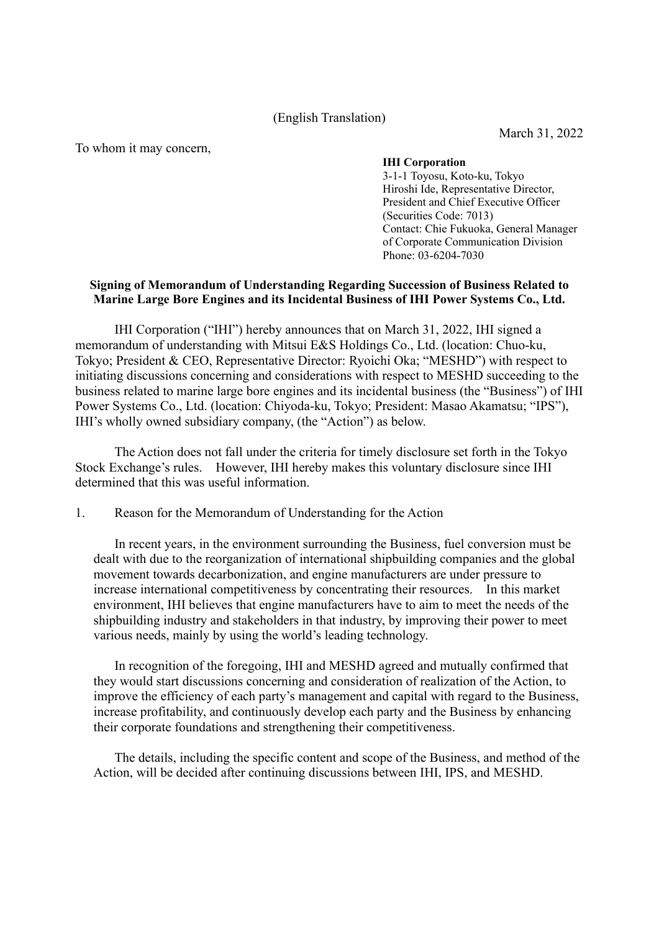(English Translation)

March 31, 2022

To whom it may concern,

## **IHI Corporation**

3-1-1 Toyosu, Koto-ku, Tokyo Hiroshi Ide, Representative Director, President and Chief Executive Officer (Securities Code: 7013) Contact: Chie Fukuoka, General Manager of Corporate Communication Division Phone: 03-6204-7030

## **Signing of Memorandum of Understanding Regarding Succession of Business Related to Marine Large Bore Engines and its Incidental Business of IHI Power Systems Co., Ltd.**

IHI Corporation ("IHI") hereby announces that on March 31, 2022, IHI signed a memorandum of understanding with Mitsui E&S Holdings Co., Ltd. (location: Chuo-ku, Tokyo; President & CEO, Representative Director: Ryoichi Oka; "MESHD") with respect to initiating discussions concerning and considerations with respect to MESHD succeeding to the business related to marine large bore engines and its incidental business (the "Business") of IHI Power Systems Co., Ltd. (location: Chiyoda-ku, Tokyo; President: Masao Akamatsu; "IPS"), IHI's wholly owned subsidiary company, (the "Action") as below.

The Action does not fall under the criteria for timely disclosure set forth in the Tokyo Stock Exchange's rules. However, IHI hereby makes this voluntary disclosure since IHI determined that this was useful information.

1. Reason for the Memorandum of Understanding for the Action

In recent years, in the environment surrounding the Business, fuel conversion must be dealt with due to the reorganization of international shipbuilding companies and the global movement towards decarbonization, and engine manufacturers are under pressure to increase international competitiveness by concentrating their resources. In this market environment, IHI believes that engine manufacturers have to aim to meet the needs of the shipbuilding industry and stakeholders in that industry, by improving their power to meet various needs, mainly by using the world's leading technology.

In recognition of the foregoing, IHI and MESHD agreed and mutually confirmed that they would start discussions concerning and consideration of realization of the Action, to improve the efficiency of each party's management and capital with regard to the Business, increase profitability, and continuously develop each party and the Business by enhancing their corporate foundations and strengthening their competitiveness.

The details, including the specific content and scope of the Business, and method of the Action, will be decided after continuing discussions between IHI, IPS, and MESHD.